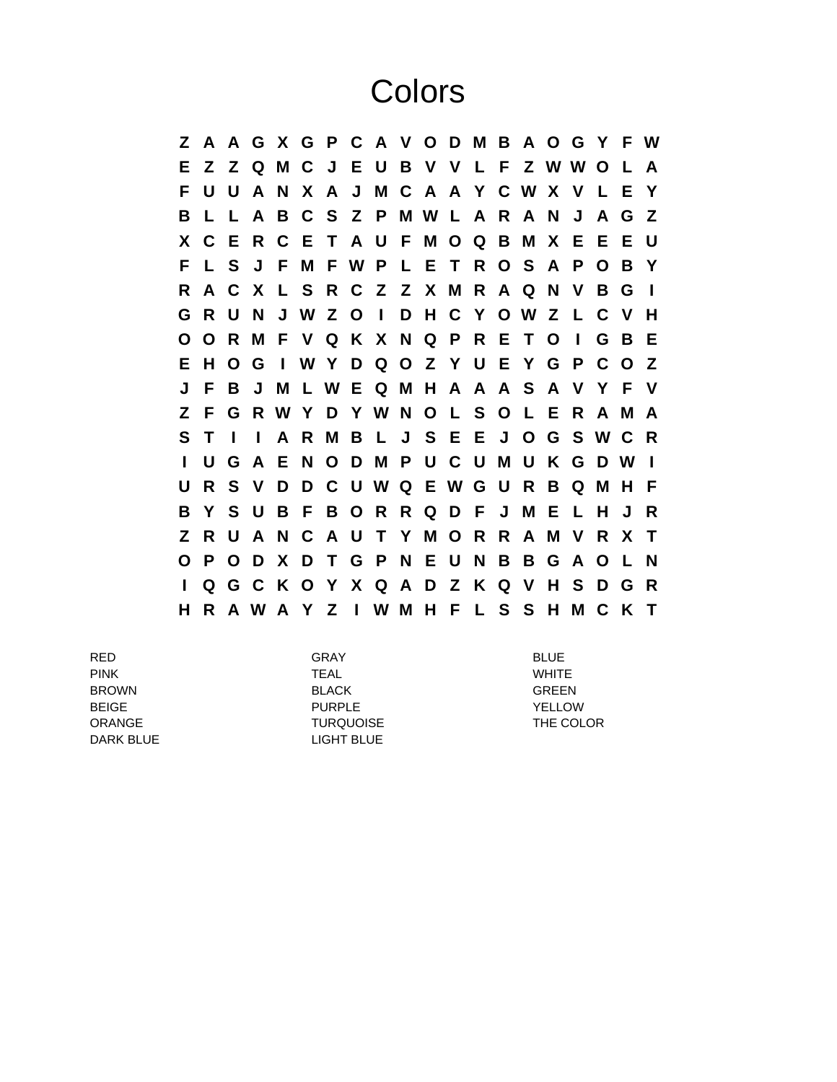## **Colors**

**Z A A G X G P C A V O D M B A O G Y F W E Z Z Q M C J E U B V V L F Z W W O L A F U U A N X A J M C A A Y C W X V L E Y B L L A B C S Z P M W L A R A N J A G Z X C E R C E T A U F M O Q B M X E E E U F L S J F M F W P L E T R O S A P O B Y R A C X L S R C Z Z X M R A Q N V B G I G R U N J W Z O I D H C Y O W Z L C V H O O R M F V Q K X N Q P R E T O I G B E E H O G I W Y D Q O Z Y U E Y G P C O Z J F B J M L W E Q M H A A A S A V Y F V Z F G R W Y D Y W N O L S O L E R A M A S T I I A R M B L J S E E J O G S W C R I U G A E N O D M P U C U M U K G D W I U R S V D D C U W Q E W G U R B Q M H F B Y S U B F B O R R Q D F J M E L H J R Z R U A N C A U T Y M O R R A M V R X T O P O D X D T G P N E U N B B G A O L N I Q G C K O Y X Q A D Z K Q V H S D G R H R A W A Y Z I W M H F L S S H M C K T**

RED GRAY BLUE PINK TEAL WHITE BROWN BLACK GREEN BEIGE PURPLE YELLOW ORANGE TURQUOISE TURQUOISE THE COLOR DARK BLUE LIGHT BLUE